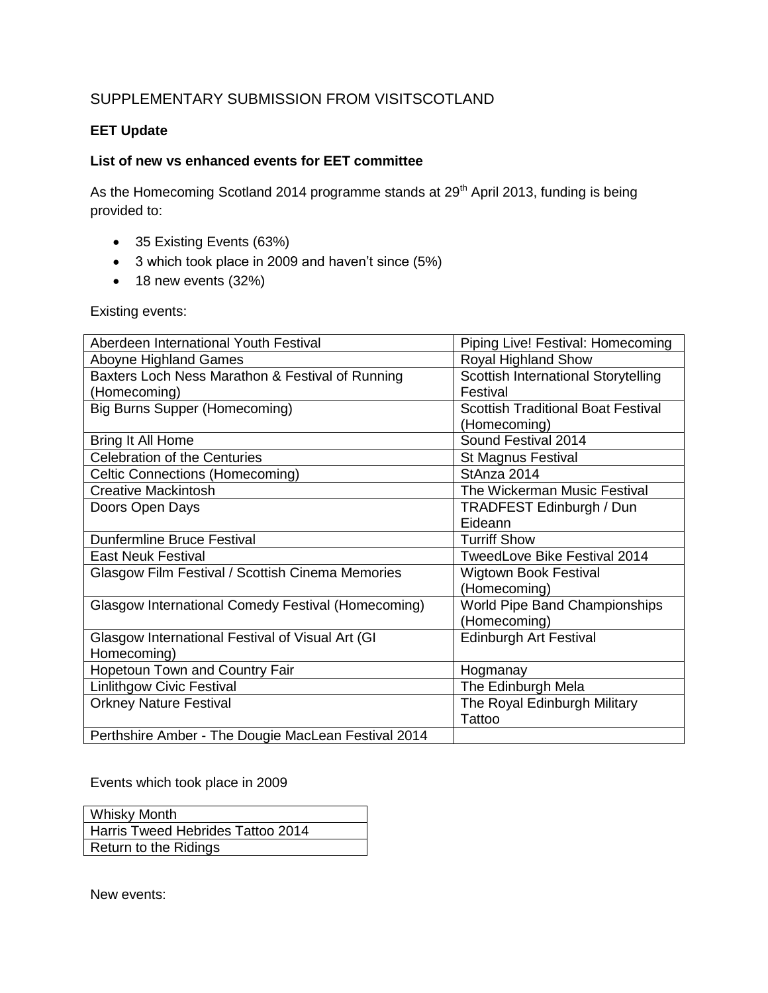## SUPPLEMENTARY SUBMISSION FROM VISITSCOTLAND

## **EET Update**

## **List of new vs enhanced events for EET committee**

As the Homecoming Scotland 2014 programme stands at 29<sup>th</sup> April 2013, funding is being provided to:

- 35 Existing Events (63%)
- 3 which took place in 2009 and haven't since (5%)
- $\bullet$  18 new events (32%)

Existing events:

| Aberdeen International Youth Festival               | Piping Live! Festival: Homecoming         |
|-----------------------------------------------------|-------------------------------------------|
| <b>Aboyne Highland Games</b>                        | Royal Highland Show                       |
| Baxters Loch Ness Marathon & Festival of Running    | Scottish International Storytelling       |
| (Homecoming)                                        | Festival                                  |
| <b>Big Burns Supper (Homecoming)</b>                | <b>Scottish Traditional Boat Festival</b> |
|                                                     | (Homecoming)                              |
| Bring It All Home                                   | Sound Festival 2014                       |
| <b>Celebration of the Centuries</b>                 | <b>St Magnus Festival</b>                 |
| Celtic Connections (Homecoming)                     | StAnza 2014                               |
| <b>Creative Mackintosh</b>                          | The Wickerman Music Festival              |
| Doors Open Days                                     | TRADFEST Edinburgh / Dun                  |
|                                                     | Eideann                                   |
| <b>Dunfermline Bruce Festival</b>                   | <b>Turriff Show</b>                       |
| <b>East Neuk Festival</b>                           | TweedLove Bike Festival 2014              |
| Glasgow Film Festival / Scottish Cinema Memories    | <b>Wigtown Book Festival</b>              |
|                                                     | (Homecoming)                              |
| Glasgow International Comedy Festival (Homecoming)  | World Pipe Band Championships             |
|                                                     | (Homecoming)                              |
| Glasgow International Festival of Visual Art (GI    | <b>Edinburgh Art Festival</b>             |
| Homecoming)                                         |                                           |
| Hopetoun Town and Country Fair                      | Hogmanay                                  |
| <b>Linlithgow Civic Festival</b>                    | The Edinburgh Mela                        |
| <b>Orkney Nature Festival</b>                       | The Royal Edinburgh Military              |
|                                                     | Tattoo                                    |
| Perthshire Amber - The Dougie MacLean Festival 2014 |                                           |

Events which took place in 2009

| <b>Whisky Month</b>               |
|-----------------------------------|
| Harris Tweed Hebrides Tattoo 2014 |
| Return to the Ridings             |

New events: